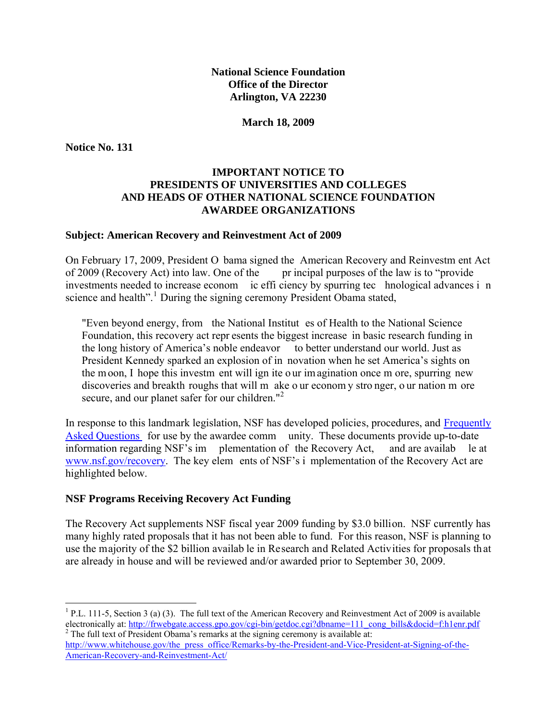**March 18, 2009** 

**Notice No. 131** 

#### **IMPORTANT NOTICE TO PRESIDENTS OF UNIVERSITIES AND COLLEGES AND HEADS OF OTHER NATIONAL SCIENCE FOUNDATION AWARDEE ORGANIZATIONS**

#### **Subject: American Recovery and Reinvestment Act of 2009**

On February 17, 2009, President O bama signed the American Recovery and Reinvestm ent Act of 2009 (Recovery Act) into law. One of the pr incipal purposes of the law is to "provide investments needed to increase econom ic effi ciency by spurring tec hnological advances i n science and health".<sup>[1](#page-0-0)</sup> During the signing ceremony President Obama stated,

"Even beyond energy, from the National Institut es of Health to the National Science Foundation, this recovery act repr esents the biggest increase in basic research funding in the long history of America's noble endeavor to better understand our world. Just as President Kennedy sparked an explosion of in novation when he set America's sights on the moon, I hope this investm ent will ign ite o ur im agination once m ore, spurring new discoveries and breakth roughs that will m ake o ur econom y stro nger, o ur nation m ore secure, and our planet safer for our children."<sup>[2](#page-0-1)</sup>

[In response to this la](http://www.nsf.gov/pubs/2009/nsf09038/nsf09038.jsp)ndmark legislation, NSF has developed policies, procedures, an[d Frequently](http://www.nsf.gov/pubs/2009/nsf09038/nsf09038.jsp) Asked Questions for use by the awardee comm unity. These documents provide up-to-date information regarding NSF's im plementation of the Recovery Act, and are availab le at [www.nsf.gov/recovery.](http://www.nsf.gov/recovery) The key elem ents of NSF's i mplementation of the Recovery Act are highlighted below.

#### **NSF Programs Receiving Recovery Act Funding**

The Recovery Act supplements NSF fiscal year 2009 funding by \$3.0 billion. NSF currently has many highly rated proposals that it has not been able to fund. For this reason, NSF is planning to use the majority of the \$2 billion availab le in Research and Related Activities for proposals th at are already in house and will be reviewed and/or awarded prior to September 30, 2009.

<span id="page-0-0"></span> $\overline{a}$ <sup>1</sup> P.L. 111-5, Section 3 (a) (3). The full text of the American Recovery and Reinvestment Act of 2009 is available electronically at: <u>http://frwebgate.access.gpo.gov/cgi-bin/getdoc.cgi?dbname=111\_cong\_bills&docid=f:h1enr.pdf</u><br><sup>2</sup> The full text of President Obama's remarks at the signing ceremony is available at:

<span id="page-0-1"></span>[http://www.whitehouse.gov/the\\_press\\_office/Remarks-by-the-President-and-Vice-President-at-Signing-of-the-](http://www.whitehouse.gov/the_press_office/Remarks-by-the-President-and-Vice-President-at-Signing-of-the-American-Recovery-and-Reinvestment-Act/)[American-Recovery-and-Reinvestment-Act/](http://www.whitehouse.gov/the_press_office/Remarks-by-the-President-and-Vice-President-at-Signing-of-the-American-Recovery-and-Reinvestment-Act/)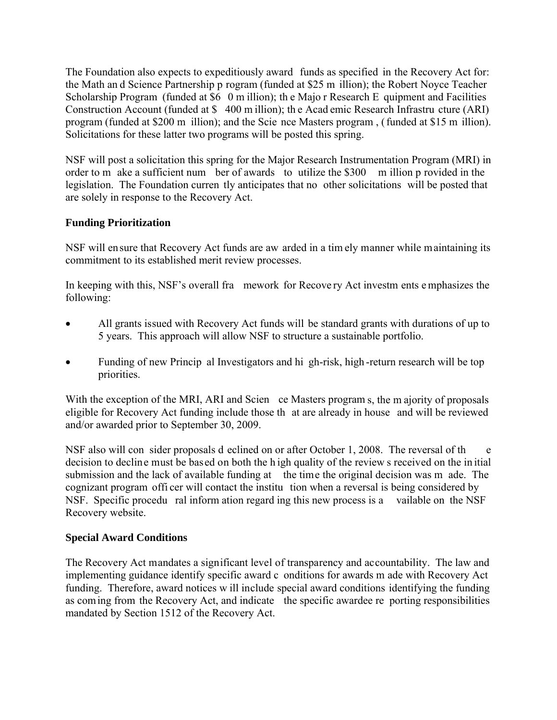The Foundation also expects to expeditiously award funds as specified in the Recovery Act for: the Math an d Science Partnership p rogram (funded at \$25 m illion); the Robert Noyce Teacher Scholarship Program (funded at \$6 0 m illion); the Majo r Research E quipment and Facilities Construction Account (funded at \$ 400 m illion); th e Acad emic Research Infrastru cture (ARI) program (funded at \$200 m illion); and the Scie nce Masters program , ( funded at \$15 m illion). Solicitations for these latter two programs will be posted this spring.

NSF will post a solicitation this spring for the Major Research Instrumentation Program (MRI) in order to m ake a sufficient num ber of awards to utilize the \$300 m illion p rovided in the legislation. The Foundation curren tly anticipates that no other solicitations will be posted that are solely in response to the Recovery Act.

# **Funding Prioritization**

NSF will ensure that Recovery Act funds are aw arded in a tim ely manner while maintaining its commitment to its established merit review processes.

In keeping with this, NSF's overall fra mework for Recove ry Act investm ents e mphasizes the following:

- All grants issued with Recovery Act funds will be standard grants with durations of up to 5 years. This approach will allow NSF to structure a sustainable portfolio.
- Funding of new Princip al Investigators and hi gh-risk, high-return research will be top priorities.

With the exception of the MRI, ARI and Scien ce Masters program s, the m ajority of proposals eligible for Recovery Act funding include those th at are already in house and will be reviewed and/or awarded prior to September 30, 2009.

NSF also will con sider proposals d eclined on or after October 1, 2008. The reversal of the e decision to decline must be based on both the h igh quality of the review s received on the in itial submission and the lack of available funding at the time the original decision was m ade. The cognizant program offi cer will contact the institu tion when a reversal is being considered by NSF. Specific procedu ral inform ation regard ing this new process is a vailable on the NSF Recovery website.

# **Special Award Conditions**

The Recovery Act mandates a significant level of transparency and accountability. The law and implementing guidance identify specific award c onditions for awards m ade with Recovery Act funding. Therefore, award notices w ill include special award conditions identifying the funding as coming from the Recovery Act, and indicate the specific awardee re porting responsibilities mandated by Section 1512 of the Recovery Act.